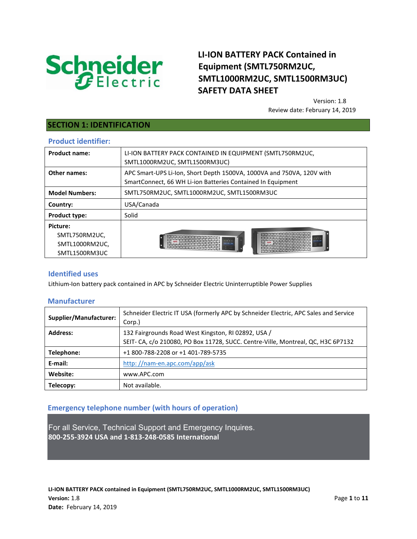

# **LI-ION BATTERY PACK Contained in Equipment (SMTL750RM2UC, SMTL1000RM2UC, SMTL1500RM3UC) SAFETY DATA SHEET**

Version: 1.8 Review date: February 14, 2019

## **SECTION 1: IDENTIFICATION**

#### **Product identifier:**

| <b>Product name:</b>  | LI-ION BATTERY PACK CONTAINED IN EQUIPMENT (SMTL750RM2UC,<br>SMTL1000RM2UC, SMTL1500RM3UC)                                                                                                                                                                                                                                                                                                                                                                                                                          |  |
|-----------------------|---------------------------------------------------------------------------------------------------------------------------------------------------------------------------------------------------------------------------------------------------------------------------------------------------------------------------------------------------------------------------------------------------------------------------------------------------------------------------------------------------------------------|--|
| Other names:          | APC Smart-UPS Li-Ion, Short Depth 1500VA, 1000VA and 750VA, 120V with<br>SmartConnect, 66 WH Li-ion Batteries Contained In Equipment                                                                                                                                                                                                                                                                                                                                                                                |  |
| <b>Model Numbers:</b> | SMTL750RM2UC, SMTL1000RM2UC, SMTL1500RM3UC                                                                                                                                                                                                                                                                                                                                                                                                                                                                          |  |
| Country:              | USA/Canada                                                                                                                                                                                                                                                                                                                                                                                                                                                                                                          |  |
| <b>Product type:</b>  | Solid                                                                                                                                                                                                                                                                                                                                                                                                                                                                                                               |  |
| Picture:              |                                                                                                                                                                                                                                                                                                                                                                                                                                                                                                                     |  |
| SMTL750RM2UC,         | ATAVATATATATATATATATATATATATATATATA<br>VAVAVAVAVAVAVAVAVAVAVAVAVAVAVAVAVA<br>ATATATATATATATATATATATATATATATATATA<br>VATATATATATATATATATATAT<br><b>PATATATATATATATATATA</b><br>VATAVATATATATATATATATATATAT<br>APC TATATATATATATATATATATATATATAT<br>AVAVAVAVAVAVAVAVAVAVAVAVA<br>ATATATATATATATATATAT<br>AVAVAVAVAVAVAVAVAVAV<br>TATATATATATATATATATATATATATATATATAT<br>***********************<br>ATATATATATATATATATATATATATATATATATA<br>VATATATATATATATATATATATATATATATATAT<br>************************************ |  |
| SMTL1000RM2UC,        |                                                                                                                                                                                                                                                                                                                                                                                                                                                                                                                     |  |
| SMTL1500RM3UC         | ${\bf \small \color{red}\mathtt{A}{}{}{}^{T}{}_{A}{}^{T}{}_{A}{}^{T}{}_{A}{}^{T}{}_{A}{}^{T}{}_{A}{}^{T}{}_{A}{}^{T}{}_{A}{}^{T}{}_{A}{}^{T}{}_{A}{}^{T}{}_{A}{}^{T}{}_{A}{}^{T}{}_{A}{}^{T}{}_{A}{}^{T}{}_{A}{}^{T}{}_{A}{}^{T}{}_{A}{}^{T}{}_{A}{}^{T}{}_{A}{}^{T}{}_{A}{}^{T}{}_{A}{}^{T}{}_{A}{}^{T}{}_{A}{}^{T}{}_{A}{}^{T}{}_{A}{}^{T}{}_{A}{}^{T}$<br>VAVAVAVAVAVAVAVAVAVAVAVAVAVAVAVAVA                                                                                                                     |  |
|                       |                                                                                                                                                                                                                                                                                                                                                                                                                                                                                                                     |  |

### **Identified uses**

Lithium-Ion battery pack contained in APC by Schneider Electric Uninterruptible Power Supplies

### **Manufacturer**

| <b>Supplier/Manufacturer:</b> | Schneider Electric IT USA (formerly APC by Schneider Electric, APC Sales and Service<br>Corp.) |  |
|-------------------------------|------------------------------------------------------------------------------------------------|--|
| <b>Address:</b>               | 132 Fairgrounds Road West Kingston, RJ 02892, USA /                                            |  |
|                               | SEIT- CA, c/o 210080, PO Box 11728, SUCC. Centre-Ville, Montreal, QC, H3C 6P7132               |  |
| Telephone:                    | +1 800-788-2208 or +1 401-789-5735                                                             |  |
| E-mail:                       | http://nam-en.apc.com/app/ask                                                                  |  |
| Website:                      | www.APC.com                                                                                    |  |
| Telecopy:                     | Not available.                                                                                 |  |

## **Emergency telephone number (with hours of operation)**

For all Service, Technical Support and Emergency Inquires. **800-255-3924 USA and 1-813-248-0585 International**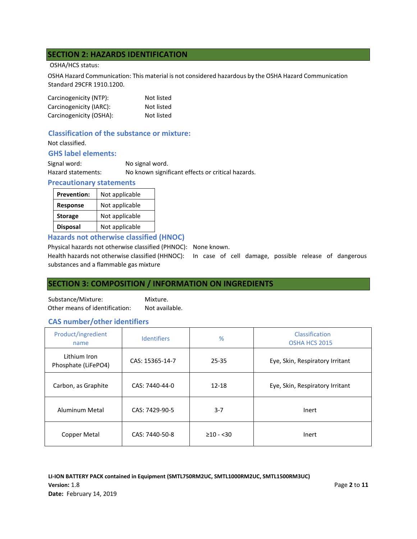## **SECTION 2: HAZARDS IDENTIFICATION**

#### OSHA/HCS status:

OSHA Hazard Communication: This material is not considered hazardous by the OSHA Hazard Communication Standard 29CFR 1910.1200.

| Carcinogenicity (NTP):  | Not listed |
|-------------------------|------------|
| Carcinogenicity (IARC): | Not listed |
| Carcinogenicity (OSHA): | Not listed |

## **Classification of the substance or mixture:**

Not classified.

## **GHS label elements:**

| Signal word:       | No signal word.                                   |
|--------------------|---------------------------------------------------|
| Hazard statements: | No known significant effects or critical hazards. |

#### **Precautionary statements**

| <b>Prevention:</b> | Not applicable |
|--------------------|----------------|
| <b>Response</b>    | Not applicable |
| <b>Storage</b>     | Not applicable |
| <b>Disposal</b>    | Not applicable |

**Hazards not otherwise classified (HNOC)** 

Physical hazards not otherwise classified (PHNOC): None known.

Health hazards not otherwise classified (HHNOC): In case of cell damage, possible release of dangerous substances and a flammable gas mixture

## **SECTION 3: COMPOSITION / INFORMATION ON INGREDIENTS**

Substance/Mixture: Mixture. Other means of identification: Not available.

### **CAS number/other identifiers**

| Product/ingredient<br>name          | <b>Identifiers</b> | %              | Classification<br>OSHA HCS 2015 |
|-------------------------------------|--------------------|----------------|---------------------------------|
| Lithium Iron<br>Phosphate (LiFePO4) | CAS: 15365-14-7    | $25 - 35$      | Eye, Skin, Respiratory Irritant |
| Carbon, as Graphite                 | CAS: 7440-44-0     | $12 - 18$      | Eye, Skin, Respiratory Irritant |
| Aluminum Metal                      | CAS: 7429-90-5     | $3 - 7$        | Inert                           |
| Copper Metal                        | CAS: 7440-50-8     | $\geq 10 - 30$ | Inert                           |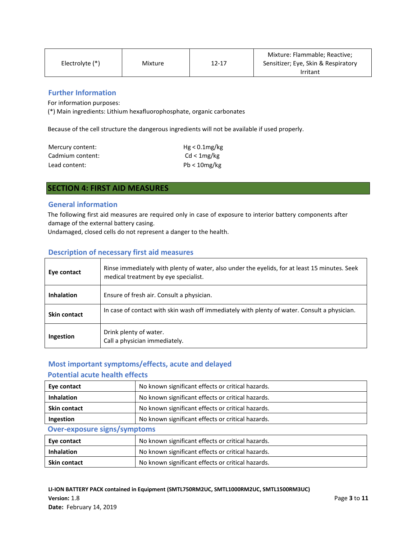|                   |         |           | Mixture: Flammable; Reactive;       |
|-------------------|---------|-----------|-------------------------------------|
| Electrolyte $(*)$ | Mixture | $12 - 17$ | Sensitizer; Eye, Skin & Respiratory |
|                   |         |           | Irritant                            |

## **Further Information**

For information purposes:

(\*) Main ingredients: Lithium hexafluorophosphate, organic carbonates

Because of the cell structure the dangerous ingredients will not be available if used properly.

| Mercury content: | $Hg < 0.1$ mg/kg |
|------------------|------------------|
| Cadmium content: | Cd < 1mg/kg      |
| Lead content:    | $Pb < 10$ mg/kg  |

## **SECTION 4: FIRST AID MEASURES**

#### **General information**

The following first aid measures are required only in case of exposure to interior battery components after damage of the external battery casing.

Undamaged, closed cells do not represent a danger to the health.

#### **Description of necessary first aid measures**

| Eye contact         | Rinse immediately with plenty of water, also under the eyelids, for at least 15 minutes. Seek<br>medical treatment by eye specialist. |
|---------------------|---------------------------------------------------------------------------------------------------------------------------------------|
| <b>Inhalation</b>   | Ensure of fresh air. Consult a physician.                                                                                             |
| <b>Skin contact</b> | In case of contact with skin wash off immediately with plenty of water. Consult a physician.                                          |
| Ingestion           | Drink plenty of water.<br>Call a physician immediately.                                                                               |

### **Most important symptoms/effects, acute and delayed**

### **Potential acute health effects**

| Eye contact                         | No known significant effects or critical hazards. |  |
|-------------------------------------|---------------------------------------------------|--|
| <b>Inhalation</b>                   | No known significant effects or critical hazards. |  |
| <b>Skin contact</b>                 | No known significant effects or critical hazards. |  |
| Ingestion                           | No known significant effects or critical hazards. |  |
| <b>Over-exposure signs/symptoms</b> |                                                   |  |
| Eye contact                         | No known significant effects or critical hazards. |  |

| Eye contact         | No known significant effects or critical hazards. |  |
|---------------------|---------------------------------------------------|--|
| Inhalation          | No known significant effects or critical hazards. |  |
| <b>Skin contact</b> | No known significant effects or critical hazards. |  |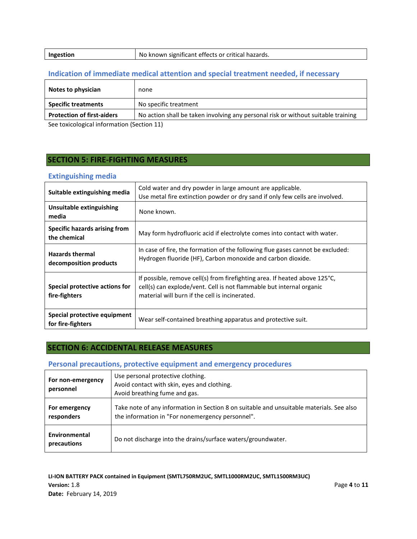| Ingestion | No known significant effects or critical hazards. |
|-----------|---------------------------------------------------|
|           |                                                   |

## **Indication of immediate medical attention and special treatment needed, if necessary**

| Notes to physician                         | none                                                                              |
|--------------------------------------------|-----------------------------------------------------------------------------------|
| <b>Specific treatments</b>                 | No specific treatment                                                             |
| <b>Protection of first-aiders</b>          | No action shall be taken involving any personal risk or without suitable training |
| See toxicological information (Section 11) |                                                                                   |

See toxicological information (Section 11)

## **SECTION 5: FIRE-FIGHTING MEASURES**

#### **Extinguishing media**

| Suitable extinguishing media                      | Cold water and dry powder in large amount are applicable.<br>Use metal fire extinction powder or dry sand if only few cells are involved.                                                            |
|---------------------------------------------------|------------------------------------------------------------------------------------------------------------------------------------------------------------------------------------------------------|
| Unsuitable extinguishing<br>media                 | None known.                                                                                                                                                                                          |
| Specific hazards arising from<br>the chemical     | May form hydrofluoric acid if electrolyte comes into contact with water.                                                                                                                             |
| <b>Hazards thermal</b><br>decomposition products  | In case of fire, the formation of the following flue gases cannot be excluded:<br>Hydrogen fluoride (HF), Carbon monoxide and carbon dioxide.                                                        |
| Special protective actions for<br>fire-fighters   | If possible, remove cell(s) from firefighting area. If heated above 125°C,<br>cell(s) can explode/vent. Cell is not flammable but internal organic<br>material will burn if the cell is incinerated. |
| Special protective equipment<br>for fire-fighters | Wear self-contained breathing apparatus and protective suit.                                                                                                                                         |

## **SECTION 6: ACCIDENTAL RELEASE MEASURES**

## **Personal precautions, protective equipment and emergency procedures**

| For non-emergency<br>personnel | Use personal protective clothing.<br>Avoid contact with skin, eyes and clothing.<br>Avoid breathing fume and gas.                            |
|--------------------------------|----------------------------------------------------------------------------------------------------------------------------------------------|
| For emergency<br>responders    | Take note of any information in Section 8 on suitable and unsuitable materials. See also<br>the information in "For nonemergency personnel". |
| Environmental<br>precautions   | Do not discharge into the drains/surface waters/groundwater.                                                                                 |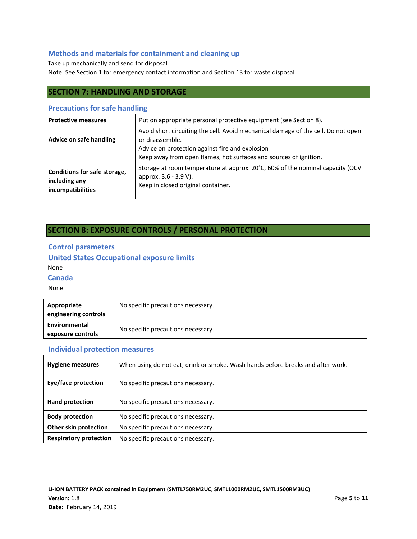## **Methods and materials for containment and cleaning up**

Take up mechanically and send for disposal. Note: See Section 1 for emergency contact information and Section 13 for waste disposal.

## **SECTION 7: HANDLING AND STORAGE**

### **Precautions for safe handling**

| <b>Protective measures</b>                                         | Put on appropriate personal protective equipment (see Section 8).                                                                                                                                                            |
|--------------------------------------------------------------------|------------------------------------------------------------------------------------------------------------------------------------------------------------------------------------------------------------------------------|
| Advice on safe handling                                            | Avoid short circuiting the cell. Avoid mechanical damage of the cell. Do not open<br>or disassemble.<br>Advice on protection against fire and explosion<br>Keep away from open flames, hot surfaces and sources of ignition. |
| Conditions for safe storage,<br>including any<br>incompatibilities | Storage at room temperature at approx. 20°C, 60% of the nominal capacity (OCV<br>approx. 3.6 - 3.9 V).<br>Keep in closed original container.                                                                                 |

## **SECTION 8: EXPOSURE CONTROLS / PERSONAL PROTECTION**

### **Control parameters**

## **United States Occupational exposure limits**  None

### **Canada**

#### None

| Appropriate          | No specific precautions necessary. |  |
|----------------------|------------------------------------|--|
| engineering controls |                                    |  |
| Environmental        | No specific precautions necessary. |  |
| exposure controls    |                                    |  |

### **Individual protection measures**

| <b>Hygiene measures</b>       | When using do not eat, drink or smoke. Wash hands before breaks and after work. |
|-------------------------------|---------------------------------------------------------------------------------|
| Eye/face protection           | No specific precautions necessary.                                              |
| Hand protection               | No specific precautions necessary.                                              |
| <b>Body protection</b>        | No specific precautions necessary.                                              |
| Other skin protection         | No specific precautions necessary.                                              |
| <b>Respiratory protection</b> | No specific precautions necessary.                                              |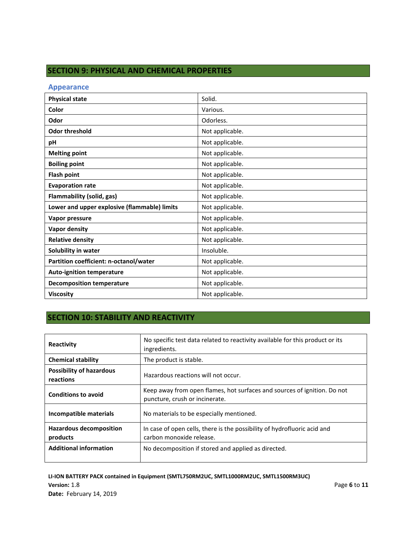## **SECTION 9: PHYSICAL AND CHEMICAL PROPERTIES**

#### **Appearance**

| <b>Physical state</b>                        | Solid.          |
|----------------------------------------------|-----------------|
| Color                                        | Various.        |
| Odor                                         | Odorless.       |
| <b>Odor threshold</b>                        | Not applicable. |
| рH                                           | Not applicable. |
| <b>Melting point</b>                         | Not applicable. |
| <b>Boiling point</b>                         | Not applicable. |
| <b>Flash point</b>                           | Not applicable. |
| <b>Evaporation rate</b>                      | Not applicable. |
| Flammability (solid, gas)                    | Not applicable. |
| Lower and upper explosive (flammable) limits | Not applicable. |
| Vapor pressure                               | Not applicable. |
| <b>Vapor density</b>                         | Not applicable. |
| <b>Relative density</b>                      | Not applicable. |
| Solubility in water                          | Insoluble.      |
| Partition coefficient: n-octanol/water       | Not applicable. |
| <b>Auto-ignition temperature</b>             | Not applicable. |
| <b>Decomposition temperature</b>             | Not applicable. |
| <b>Viscosity</b>                             | Not applicable. |

# **SECTION 10: STABILITY AND REACTIVITY**

| Reactivity                                   | No specific test data related to reactivity available for this product or its<br>ingredients.              |
|----------------------------------------------|------------------------------------------------------------------------------------------------------------|
| <b>Chemical stability</b>                    | The product is stable.                                                                                     |
| <b>Possibility of hazardous</b><br>reactions | Hazardous reactions will not occur.                                                                        |
| <b>Conditions to avoid</b>                   | Keep away from open flames, hot surfaces and sources of ignition. Do not<br>puncture, crush or incinerate. |
| Incompatible materials                       | No materials to be especially mentioned.                                                                   |
| <b>Hazardous decomposition</b><br>products   | In case of open cells, there is the possibility of hydrofluoric acid and<br>carbon monoxide release.       |
| <b>Additional information</b>                | No decomposition if stored and applied as directed.                                                        |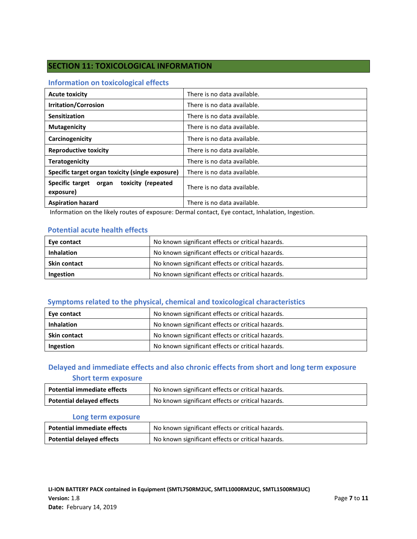## **SECTION 11: TOXICOLOGICAL INFORMATION**

### **Information on toxicological effects**

| <b>Acute toxicity</b>                                 | There is no data available. |
|-------------------------------------------------------|-----------------------------|
| <b>Irritation/Corrosion</b>                           | There is no data available. |
| Sensitization                                         | There is no data available. |
| <b>Mutagenicity</b>                                   | There is no data available. |
| Carcinogenicity                                       | There is no data available. |
| <b>Reproductive toxicity</b>                          | There is no data available. |
| <b>Teratogenicity</b>                                 | There is no data available. |
| Specific target organ toxicity (single exposure)      | There is no data available. |
| Specific target organ toxicity (repeated<br>exposure) | There is no data available. |
| <b>Aspiration hazard</b>                              | There is no data available. |

Information on the likely routes of exposure: Dermal contact, Eye contact, Inhalation, Ingestion.

### **Potential acute health effects**

| Eye contact         | No known significant effects or critical hazards. |
|---------------------|---------------------------------------------------|
| <b>Inhalation</b>   | No known significant effects or critical hazards. |
| <b>Skin contact</b> | No known significant effects or critical hazards. |
| Ingestion           | No known significant effects or critical hazards. |

## **Symptoms related to the physical, chemical and toxicological characteristics**

| Eye contact         | No known significant effects or critical hazards. |
|---------------------|---------------------------------------------------|
| <b>Inhalation</b>   | No known significant effects or critical hazards. |
| <b>Skin contact</b> | No known significant effects or critical hazards. |
| Ingestion           | No known significant effects or critical hazards. |

## **Delayed and immediate effects and also chronic effects from short and long term exposure**

### **Short term exposure**

| <b>Potential immediate effects</b> | No known significant effects or critical hazards. |
|------------------------------------|---------------------------------------------------|
| <b>Potential delayed effects</b>   | No known significant effects or critical hazards. |

#### **Long term exposure**

| <b>Potential immediate effects</b> | No known significant effects or critical hazards. |
|------------------------------------|---------------------------------------------------|
| <b>Potential delayed effects</b>   | No known significant effects or critical hazards. |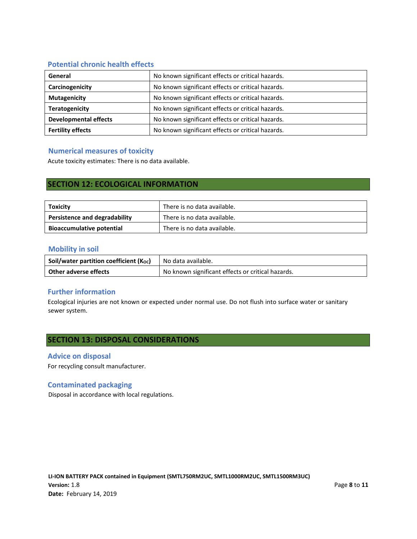## **Potential chronic health effects**

| General                      | No known significant effects or critical hazards. |
|------------------------------|---------------------------------------------------|
| Carcinogenicity              | No known significant effects or critical hazards. |
| <b>Mutagenicity</b>          | No known significant effects or critical hazards. |
| <b>Teratogenicity</b>        | No known significant effects or critical hazards. |
| <b>Developmental effects</b> | No known significant effects or critical hazards. |
| <b>Fertility effects</b>     | No known significant effects or critical hazards. |

### **Numerical measures of toxicity**

Acute toxicity estimates: There is no data available.

## **SECTION 12: ECOLOGICAL INFORMATION**

| Toxicity                         | There is no data available. |
|----------------------------------|-----------------------------|
| Persistence and degradability    | There is no data available. |
| <b>Bioaccumulative potential</b> | There is no data available. |

#### **Mobility in soil**

| Soil/water partition coefficient (Koc) | No data available.                                |
|----------------------------------------|---------------------------------------------------|
| Other adverse effects                  | No known significant effects or critical hazards. |

## **Further information**

Ecological injuries are not known or expected under normal use. Do not flush into surface water or sanitary sewer system.

## **SECTION 13: DISPOSAL CONSIDERATIONS**

#### **Advice on disposal**

For recycling consult manufacturer.

### **Contaminated packaging**

Disposal in accordance with local regulations.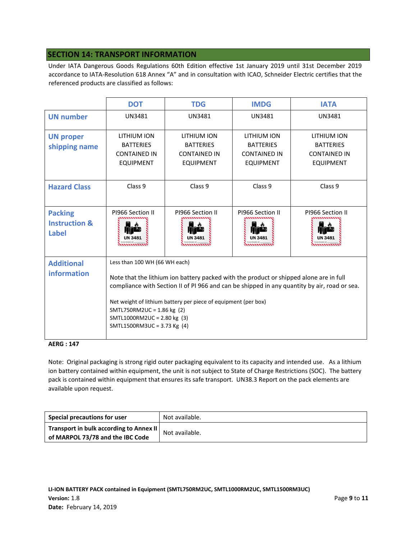## **SECTION 14: TRANSPORT INFORMATION**

Under IATA Dangerous Goods Regulations 60th Edition effective 1st January 2019 until 31st December 2019 accordance to IATA-Resolution 618 Annex "A" and in consultation with ICAO, Schneider Electric certifies that the referenced products are classified as follows:

|                                                            | <b>DOT</b>                                                                                                                                                                                                                                                                                                                                                                            | <b>TDG</b>                                                                 | <b>IMDG</b>                                                                | <b>IATA</b>                                                                |
|------------------------------------------------------------|---------------------------------------------------------------------------------------------------------------------------------------------------------------------------------------------------------------------------------------------------------------------------------------------------------------------------------------------------------------------------------------|----------------------------------------------------------------------------|----------------------------------------------------------------------------|----------------------------------------------------------------------------|
| <b>UN number</b>                                           | UN3481                                                                                                                                                                                                                                                                                                                                                                                | UN3481                                                                     | <b>UN3481</b>                                                              | <b>UN3481</b>                                                              |
| <b>UN proper</b><br>shipping name                          | LITHIUM ION<br><b>BATTERIES</b><br><b>CONTAINED IN</b><br><b>EQUIPMENT</b>                                                                                                                                                                                                                                                                                                            | LITHIUM ION<br><b>BATTERIES</b><br><b>CONTAINED IN</b><br><b>EQUIPMENT</b> | LITHIUM ION<br><b>BATTERIES</b><br><b>CONTAINED IN</b><br><b>EQUIPMENT</b> | LITHIUM ION<br><b>BATTERIES</b><br><b>CONTAINED IN</b><br><b>EQUIPMENT</b> |
| <b>Hazard Class</b>                                        | Class 9                                                                                                                                                                                                                                                                                                                                                                               | Class 9                                                                    | Class 9                                                                    | Class 9                                                                    |
| <b>Packing</b><br><b>Instruction &amp;</b><br><b>Label</b> | PI966 Section II                                                                                                                                                                                                                                                                                                                                                                      | PI966 Section II                                                           | PI966 Section II                                                           | PI966 Section II                                                           |
| <b>Additional</b><br>information                           | Less than 100 WH (66 WH each)<br>Note that the lithium ion battery packed with the product or shipped alone are in full<br>compliance with Section II of PI 966 and can be shipped in any quantity by air, road or sea.<br>Net weight of lithium battery per piece of equipment (per box)<br>SMTL750RM2UC = 1.86 kg (2)<br>SMTL1000RM2UC = 2.80 kg (3)<br>SMTL1500RM3UC = 3.73 Kg (4) |                                                                            |                                                                            |                                                                            |

#### **AERG : 147**

Note: Original packaging is strong rigid outer packaging equivalent to its capacity and intended use. As a lithium ion battery contained within equipment, the unit is not subject to State of Charge Restrictions (SOC). The battery pack is contained within equipment that ensures its safe transport. UN38.3 Report on the pack elements are available upon request.

| Special precautions for user                                                | Not available. |
|-----------------------------------------------------------------------------|----------------|
| Transport in bulk according to Annex II<br>of MARPOL 73/78 and the IBC Code | Not available. |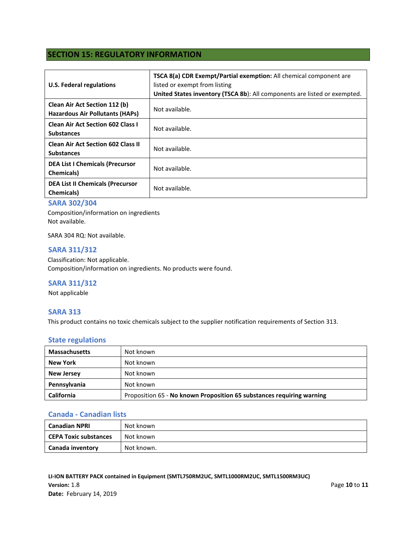## **SECTION 15: REGULATORY INFORMATION**

| <b>U.S. Federal regulations</b>                                                | <b>TSCA 8(a) CDR Exempt/Partial exemption:</b> All chemical component are<br>listed or exempt from listing<br>United States inventory (TSCA 8b): All components are listed or exempted. |
|--------------------------------------------------------------------------------|-----------------------------------------------------------------------------------------------------------------------------------------------------------------------------------------|
| <b>Clean Air Act Section 112 (b)</b><br><b>Hazardous Air Pollutants (HAPs)</b> | Not available.                                                                                                                                                                          |
| <b>Clean Air Act Section 602 Class I</b><br><b>Substances</b>                  | Not available.                                                                                                                                                                          |
| <b>Clean Air Act Section 602 Class II</b><br><b>Substances</b>                 | Not available.                                                                                                                                                                          |
| <b>DEA List I Chemicals (Precursor</b><br><b>Chemicals</b> )                   | Not available.                                                                                                                                                                          |
| <b>DEA List II Chemicals (Precursor</b><br><b>Chemicals</b> )                  | Not available.                                                                                                                                                                          |

### **SARA 302/304**

Composition/information on ingredients Not available.

SARA 304 RQ: Not available.

#### **SARA 311/312**

Classification: Not applicable. Composition/information on ingredients. No products were found.

### **SARA 311/312**

Not applicable

#### **SARA 313**

This product contains no toxic chemicals subject to the supplier notification requirements of Section 313.

#### **State regulations**

| <b>Massachusetts</b> | Not known                                                             |
|----------------------|-----------------------------------------------------------------------|
| <b>New York</b>      | Not known                                                             |
| <b>New Jersey</b>    | Not known                                                             |
| Pennsylvania         | Not known                                                             |
| <b>California</b>    | Proposition 65 - No known Proposition 65 substances requiring warning |

#### **Canada - Canadian lists**

| <b>Canadian NPRI</b>  | Not known  |
|-----------------------|------------|
| CEPA Toxic substances | Not known  |
| Canada inventory      | Not known. |